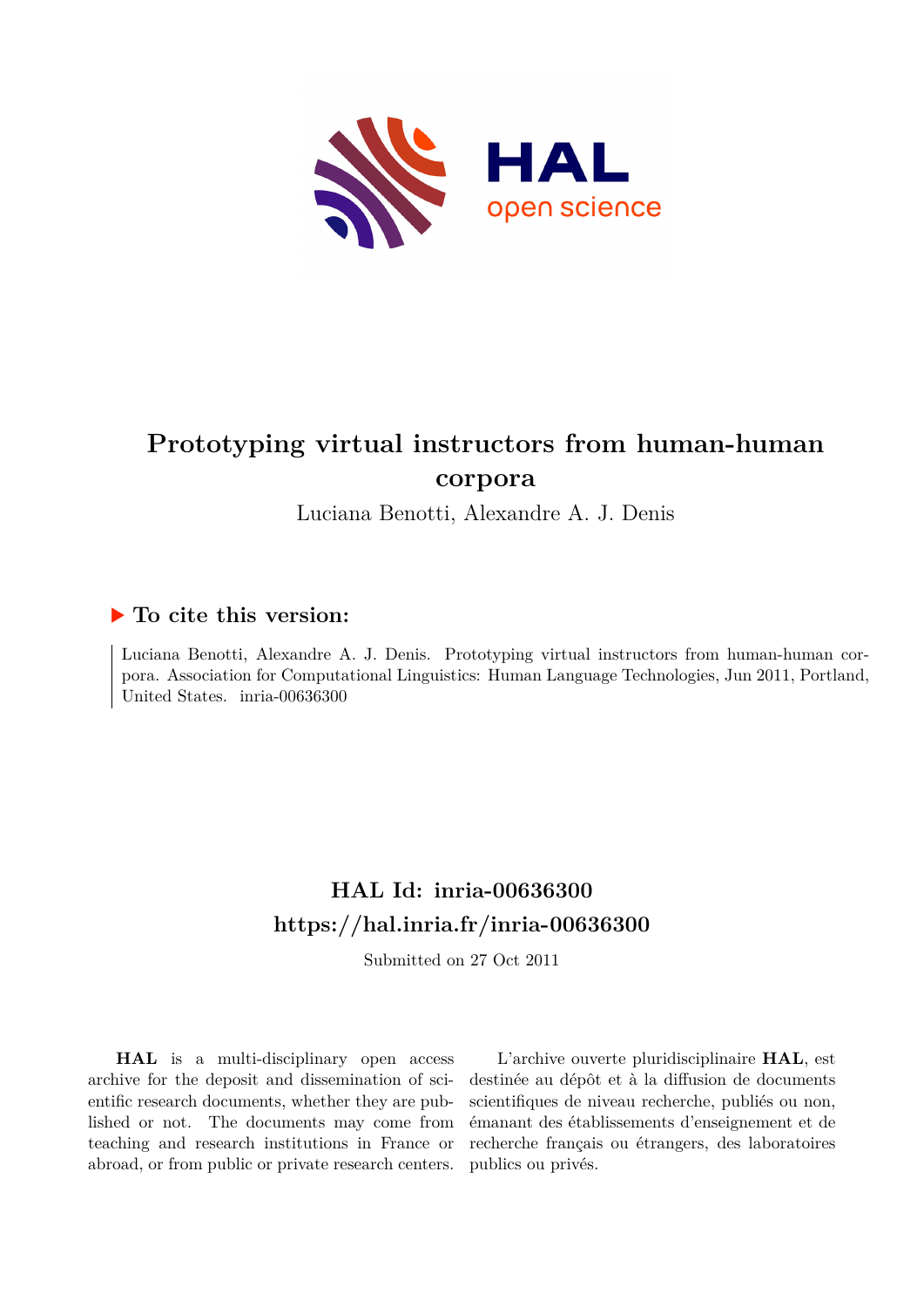

# **Prototyping virtual instructors from human-human corpora**

Luciana Benotti, Alexandre A. J. Denis

### **To cite this version:**

Luciana Benotti, Alexandre A. J. Denis. Prototyping virtual instructors from human-human corpora. Association for Computational Linguistics: Human Language Technologies, Jun 2011, Portland, United States. inria-00636300

## **HAL Id: inria-00636300 <https://hal.inria.fr/inria-00636300>**

Submitted on 27 Oct 2011

**HAL** is a multi-disciplinary open access archive for the deposit and dissemination of scientific research documents, whether they are published or not. The documents may come from teaching and research institutions in France or abroad, or from public or private research centers.

L'archive ouverte pluridisciplinaire **HAL**, est destinée au dépôt et à la diffusion de documents scientifiques de niveau recherche, publiés ou non, émanant des établissements d'enseignement et de recherche français ou étrangers, des laboratoires publics ou privés.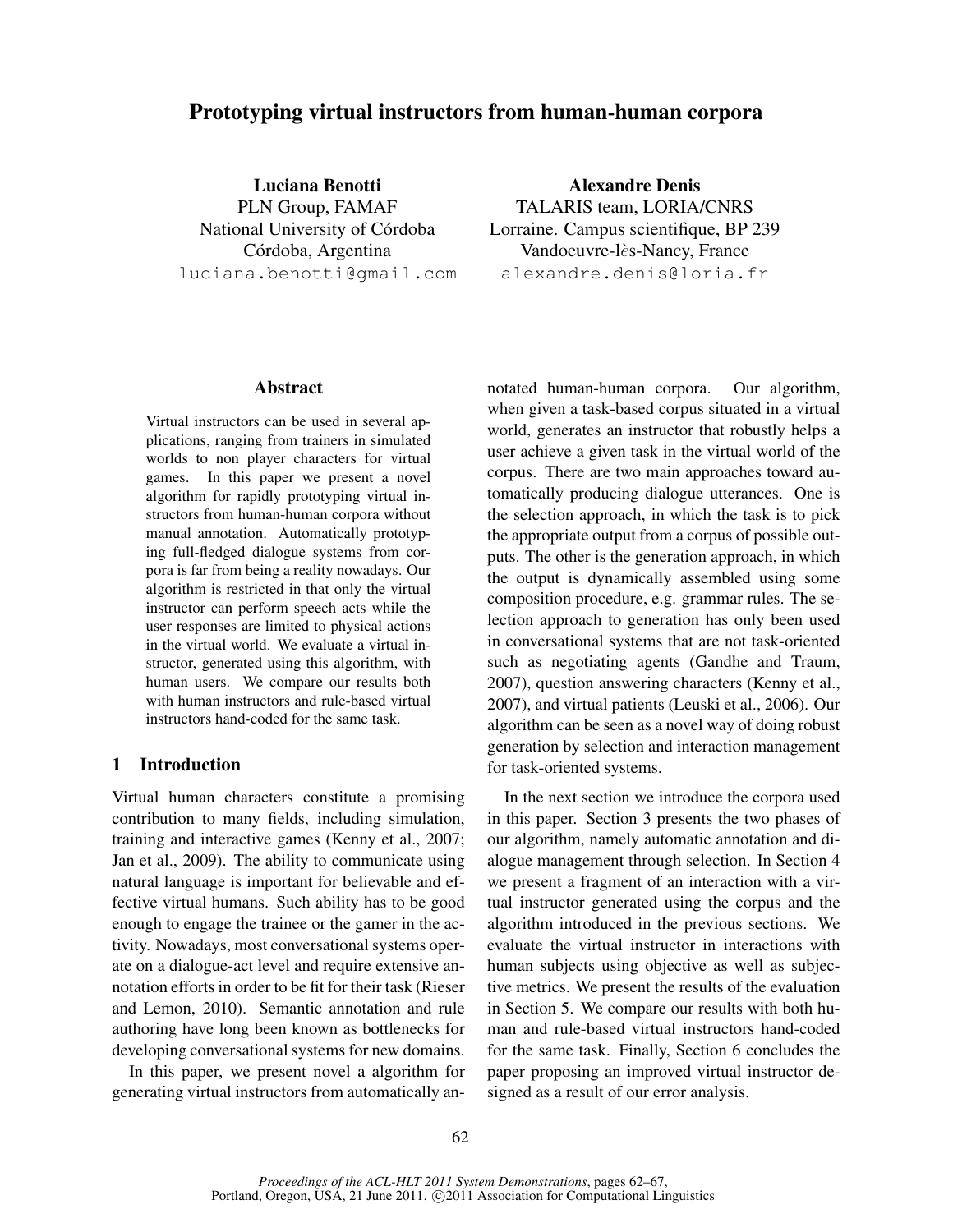### Prototyping virtual instructors from human-human corpora

Luciana Benotti PLN Group, FAMAF National University of Córdoba Córdoba, Argentina luciana.benotti@gmail.com

Alexandre Denis TALARIS team, LORIA/CNRS Lorraine. Campus scientifique, BP 239 Vandoeuvre-lès-Nancy, France alexandre.denis@loria.fr

#### **Abstract**

Virtual instructors can be used in several applications, ranging from trainers in simulated worlds to non player characters for virtual games. In this paper we present a novel algorithm for rapidly prototyping virtual instructors from human-human corpora without manual annotation. Automatically prototyping full-fledged dialogue systems from corpora is far from being a reality nowadays. Our algorithm is restricted in that only the virtual instructor can perform speech acts while the user responses are limited to physical actions in the virtual world. We evaluate a virtual instructor, generated using this algorithm, with human users. We compare our results both with human instructors and rule-based virtual instructors hand-coded for the same task.

#### 1 Introduction

Virtual human characters constitute a promising contribution to many fields, including simulation, training and interactive games (Kenny et al., 2007; Jan et al., 2009). The ability to communicate using natural language is important for believable and effective virtual humans. Such ability has to be good enough to engage the trainee or the gamer in the activity. Nowadays, most conversational systems operate on a dialogue-act level and require extensive annotation efforts in order to be fit for their task (Rieser and Lemon, 2010). Semantic annotation and rule authoring have long been known as bottlenecks for developing conversational systems for new domains.

In this paper, we present novel a algorithm for generating virtual instructors from automatically annotated human-human corpora. Our algorithm, when given a task-based corpus situated in a virtual world, generates an instructor that robustly helps a user achieve a given task in the virtual world of the corpus. There are two main approaches toward automatically producing dialogue utterances. One is the selection approach, in which the task is to pick the appropriate output from a corpus of possible outputs. The other is the generation approach, in which the output is dynamically assembled using some composition procedure, e.g. grammar rules. The selection approach to generation has only been used in conversational systems that are not task-oriented such as negotiating agents (Gandhe and Traum, 2007), question answering characters (Kenny et al., 2007), and virtual patients (Leuski et al., 2006). Our algorithm can be seen as a novel way of doing robust generation by selection and interaction management for task-oriented systems.

In the next section we introduce the corpora used in this paper. Section 3 presents the two phases of our algorithm, namely automatic annotation and dialogue management through selection. In Section 4 we present a fragment of an interaction with a virtual instructor generated using the corpus and the algorithm introduced in the previous sections. We evaluate the virtual instructor in interactions with human subjects using objective as well as subjective metrics. We present the results of the evaluation in Section 5. We compare our results with both human and rule-based virtual instructors hand-coded for the same task. Finally, Section 6 concludes the paper proposing an improved virtual instructor designed as a result of our error analysis.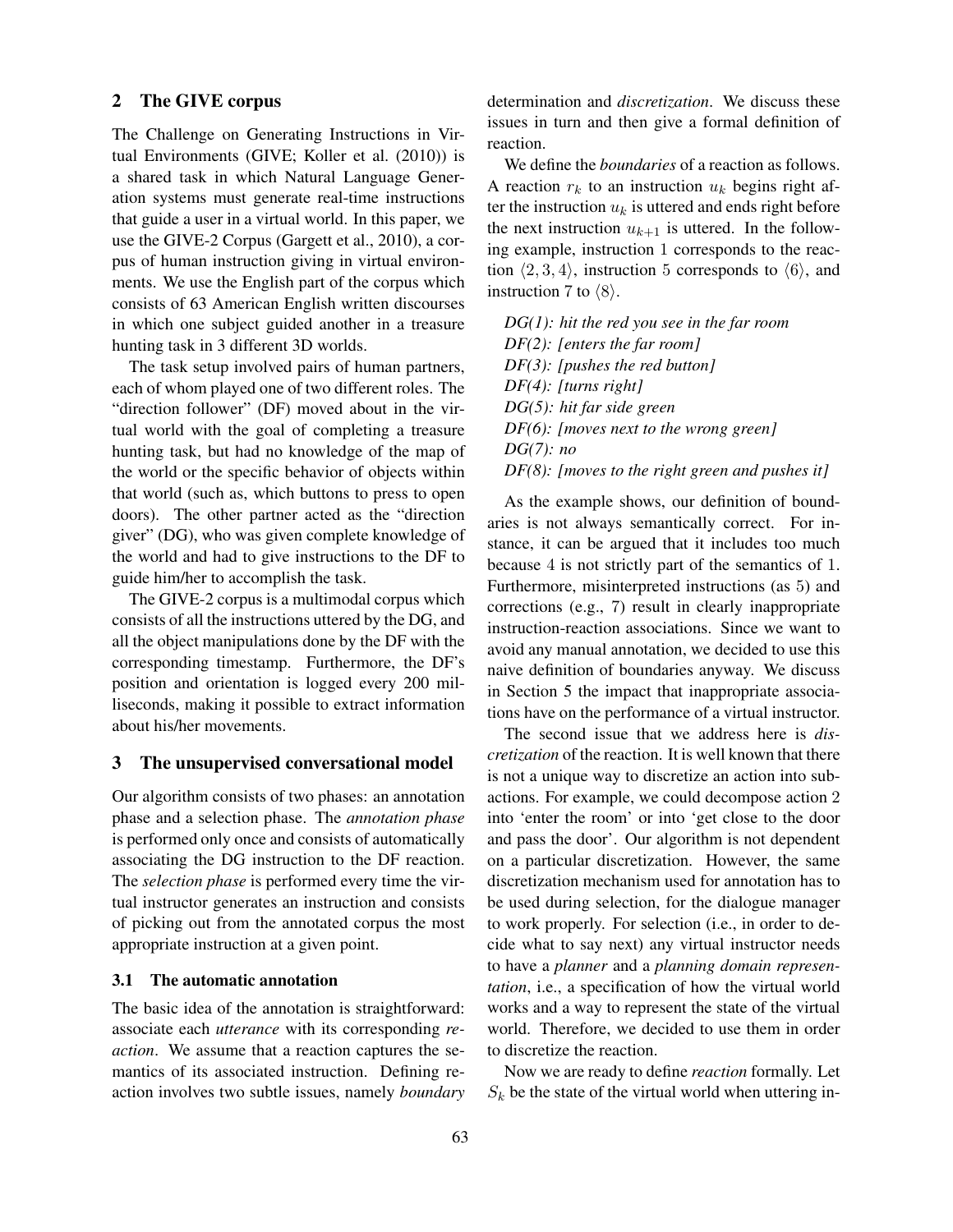#### 2 The GIVE corpus

The Challenge on Generating Instructions in Virtual Environments (GIVE; Koller et al. (2010)) is a shared task in which Natural Language Generation systems must generate real-time instructions that guide a user in a virtual world. In this paper, we use the GIVE-2 Corpus (Gargett et al., 2010), a corpus of human instruction giving in virtual environments. We use the English part of the corpus which consists of 63 American English written discourses in which one subject guided another in a treasure hunting task in 3 different 3D worlds.

The task setup involved pairs of human partners, each of whom played one of two different roles. The "direction follower" (DF) moved about in the virtual world with the goal of completing a treasure hunting task, but had no knowledge of the map of the world or the specific behavior of objects within that world (such as, which buttons to press to open doors). The other partner acted as the "direction giver" (DG), who was given complete knowledge of the world and had to give instructions to the DF to guide him/her to accomplish the task.

The GIVE-2 corpus is a multimodal corpus which consists of all the instructions uttered by the DG, and all the object manipulations done by the DF with the corresponding timestamp. Furthermore, the DF's position and orientation is logged every 200 milliseconds, making it possible to extract information about his/her movements.

#### 3 The unsupervised conversational model

Our algorithm consists of two phases: an annotation phase and a selection phase. The *annotation phase* is performed only once and consists of automatically associating the DG instruction to the DF reaction. The *selection phase* is performed every time the virtual instructor generates an instruction and consists of picking out from the annotated corpus the most appropriate instruction at a given point.

#### 3.1 The automatic annotation

The basic idea of the annotation is straightforward: associate each *utterance* with its corresponding *reaction*. We assume that a reaction captures the semantics of its associated instruction. Defining reaction involves two subtle issues, namely *boundary* determination and *discretization*. We discuss these issues in turn and then give a formal definition of reaction.

We define the *boundaries* of a reaction as follows. A reaction  $r_k$  to an instruction  $u_k$  begins right after the instruction  $u_k$  is uttered and ends right before the next instruction  $u_{k+1}$  is uttered. In the following example, instruction 1 corresponds to the reaction  $\langle 2, 3, 4 \rangle$ , instruction 5 corresponds to  $\langle 6 \rangle$ , and instruction 7 to  $\langle 8 \rangle$ .

*DG(1): hit the red you see in the far room DF(2): [enters the far room] DF(3): [pushes the red button] DF(4): [turns right] DG(5): hit far side green DF(6): [moves next to the wrong green] DG(7): no DF(8): [moves to the right green and pushes it]*

As the example shows, our definition of boundaries is not always semantically correct. For instance, it can be argued that it includes too much because 4 is not strictly part of the semantics of 1. Furthermore, misinterpreted instructions (as 5) and corrections (e.g., 7) result in clearly inappropriate instruction-reaction associations. Since we want to avoid any manual annotation, we decided to use this naive definition of boundaries anyway. We discuss in Section 5 the impact that inappropriate associations have on the performance of a virtual instructor.

The second issue that we address here is *discretization* of the reaction. It is well known that there is not a unique way to discretize an action into subactions. For example, we could decompose action 2 into 'enter the room' or into 'get close to the door and pass the door'. Our algorithm is not dependent on a particular discretization. However, the same discretization mechanism used for annotation has to be used during selection, for the dialogue manager to work properly. For selection (i.e., in order to decide what to say next) any virtual instructor needs to have a *planner* and a *planning domain representation*, i.e., a specification of how the virtual world works and a way to represent the state of the virtual world. Therefore, we decided to use them in order to discretize the reaction.

Now we are ready to define *reaction* formally. Let  $S_k$  be the state of the virtual world when uttering in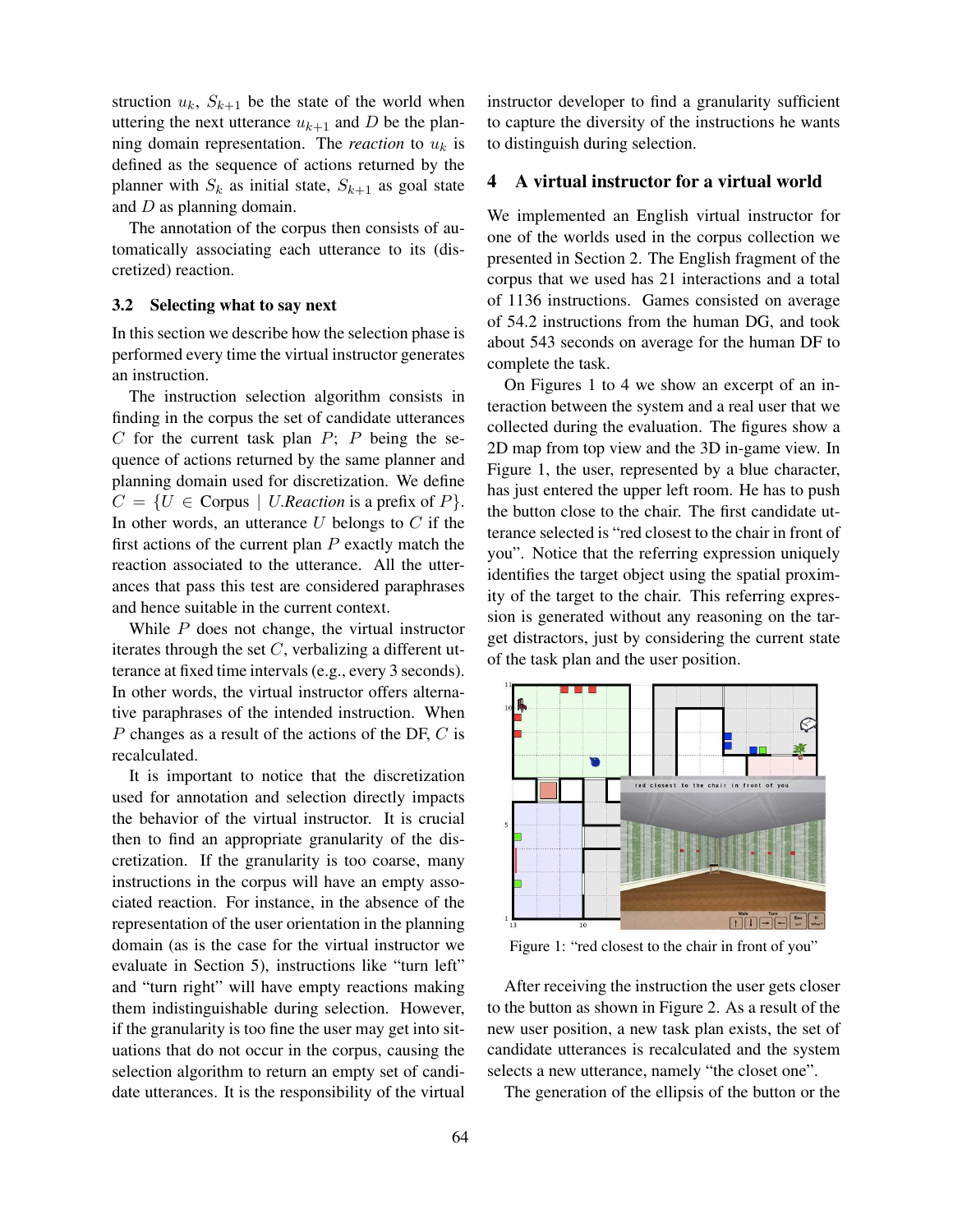struction  $u_k$ ,  $S_{k+1}$  be the state of the world when uttering the next utterance  $u_{k+1}$  and D be the planning domain representation. The *reaction* to  $u_k$  is defined as the sequence of actions returned by the planner with  $S_k$  as initial state,  $S_{k+1}$  as goal state and D as planning domain.

The annotation of the corpus then consists of automatically associating each utterance to its (discretized) reaction.

#### 3.2 Selecting what to say next

In this section we describe how the selection phase is performed every time the virtual instructor generates an instruction.

The instruction selection algorithm consists in finding in the corpus the set of candidate utterances  $C$  for the current task plan  $P$ ;  $P$  being the sequence of actions returned by the same planner and planning domain used for discretization. We define  $C = \{U \in \text{Corpus} \mid U\text{.}Reaction \text{ is a prefix of } P\}.$ In other words, an utterance  $U$  belongs to  $C$  if the first actions of the current plan  $P$  exactly match the reaction associated to the utterance. All the utterances that pass this test are considered paraphrases and hence suitable in the current context.

While  $P$  does not change, the virtual instructor iterates through the set  $C$ , verbalizing a different utterance at fixed time intervals (e.g., every 3 seconds). In other words, the virtual instructor offers alternative paraphrases of the intended instruction. When P changes as a result of the actions of the DF, C is recalculated.

It is important to notice that the discretization used for annotation and selection directly impacts the behavior of the virtual instructor. It is crucial then to find an appropriate granularity of the discretization. If the granularity is too coarse, many instructions in the corpus will have an empty associated reaction. For instance, in the absence of the representation of the user orientation in the planning domain (as is the case for the virtual instructor we evaluate in Section 5), instructions like "turn left" and "turn right" will have empty reactions making them indistinguishable during selection. However, if the granularity is too fine the user may get into situations that do not occur in the corpus, causing the selection algorithm to return an empty set of candidate utterances. It is the responsibility of the virtual instructor developer to find a granularity sufficient to capture the diversity of the instructions he wants to distinguish during selection.

#### 4 A virtual instructor for a virtual world

We implemented an English virtual instructor for one of the worlds used in the corpus collection we presented in Section 2. The English fragment of the corpus that we used has 21 interactions and a total of 1136 instructions. Games consisted on average of 54.2 instructions from the human DG, and took about 543 seconds on average for the human DF to complete the task.

On Figures 1 to 4 we show an excerpt of an interaction between the system and a real user that we collected during the evaluation. The figures show a 2D map from top view and the 3D in-game view. In Figure 1, the user, represented by a blue character, has just entered the upper left room. He has to push the button close to the chair. The first candidate utterance selected is "red closest to the chair in front of you". Notice that the referring expression uniquely identifies the target object using the spatial proximity of the target to the chair. This referring expression is generated without any reasoning on the target distractors, just by considering the current state of the task plan and the user position.



Figure 1: "red closest to the chair in front of you"

After receiving the instruction the user gets closer to the button as shown in Figure 2. As a result of the new user position, a new task plan exists, the set of candidate utterances is recalculated and the system selects a new utterance, namely "the closet one".

The generation of the ellipsis of the button or the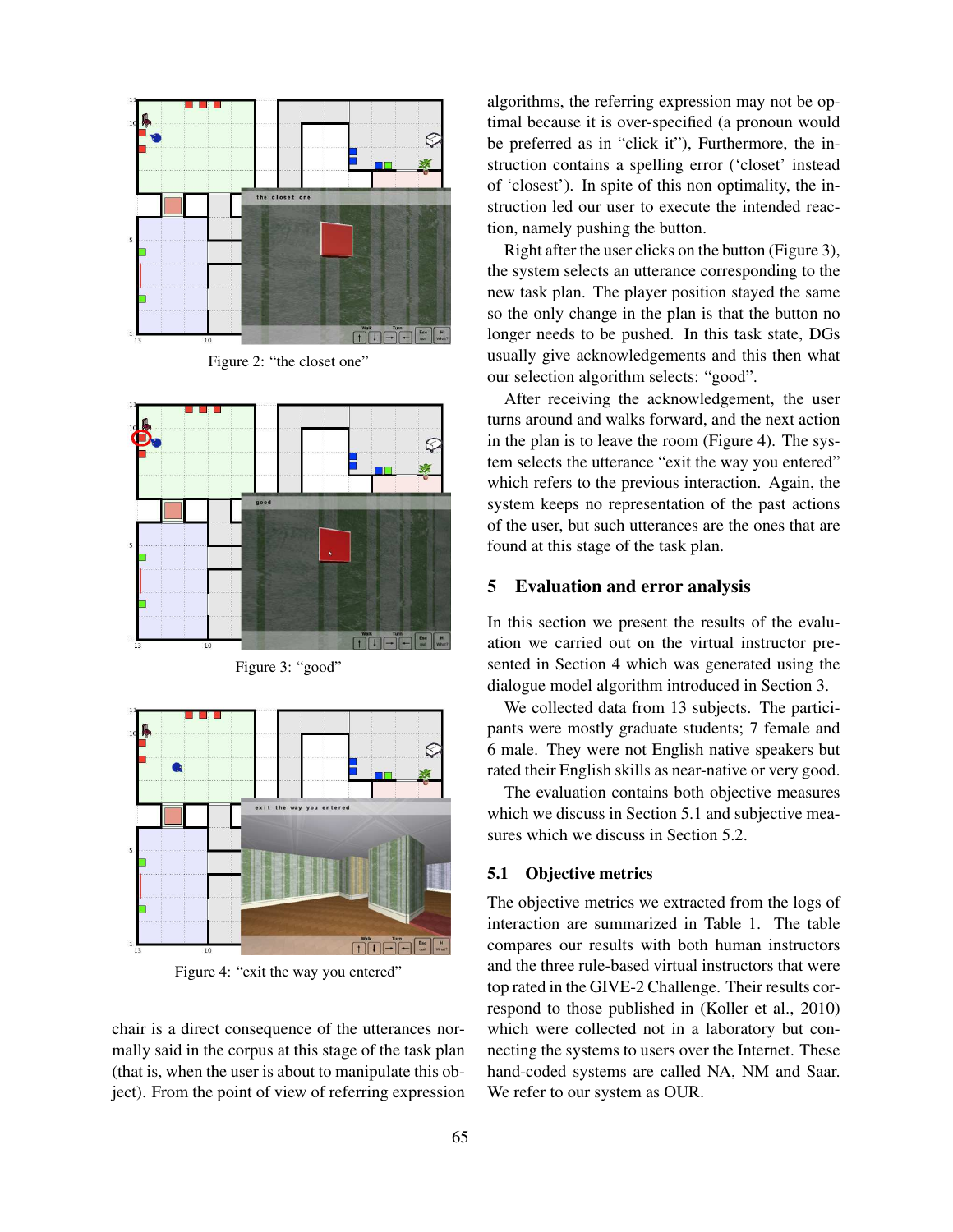

Figure 2: "the closet one"



Figure 3: "good"



Figure 4: "exit the way you entered"

chair is a direct consequence of the utterances normally said in the corpus at this stage of the task plan (that is, when the user is about to manipulate this object). From the point of view of referring expression algorithms, the referring expression may not be optimal because it is over-specified (a pronoun would be preferred as in "click it"), Furthermore, the instruction contains a spelling error ('closet' instead of 'closest'). In spite of this non optimality, the instruction led our user to execute the intended reaction, namely pushing the button.

Right after the user clicks on the button (Figure 3), the system selects an utterance corresponding to the new task plan. The player position stayed the same so the only change in the plan is that the button no longer needs to be pushed. In this task state, DGs usually give acknowledgements and this then what our selection algorithm selects: "good".

After receiving the acknowledgement, the user turns around and walks forward, and the next action in the plan is to leave the room (Figure 4). The system selects the utterance "exit the way you entered" which refers to the previous interaction. Again, the system keeps no representation of the past actions of the user, but such utterances are the ones that are found at this stage of the task plan.

#### 5 Evaluation and error analysis

In this section we present the results of the evaluation we carried out on the virtual instructor presented in Section 4 which was generated using the dialogue model algorithm introduced in Section 3.

We collected data from 13 subjects. The participants were mostly graduate students; 7 female and 6 male. They were not English native speakers but rated their English skills as near-native or very good.

The evaluation contains both objective measures which we discuss in Section 5.1 and subjective measures which we discuss in Section 5.2.

#### 5.1 Objective metrics

The objective metrics we extracted from the logs of interaction are summarized in Table 1. The table compares our results with both human instructors and the three rule-based virtual instructors that were top rated in the GIVE-2 Challenge. Their results correspond to those published in (Koller et al., 2010) which were collected not in a laboratory but connecting the systems to users over the Internet. These hand-coded systems are called NA, NM and Saar. We refer to our system as OUR.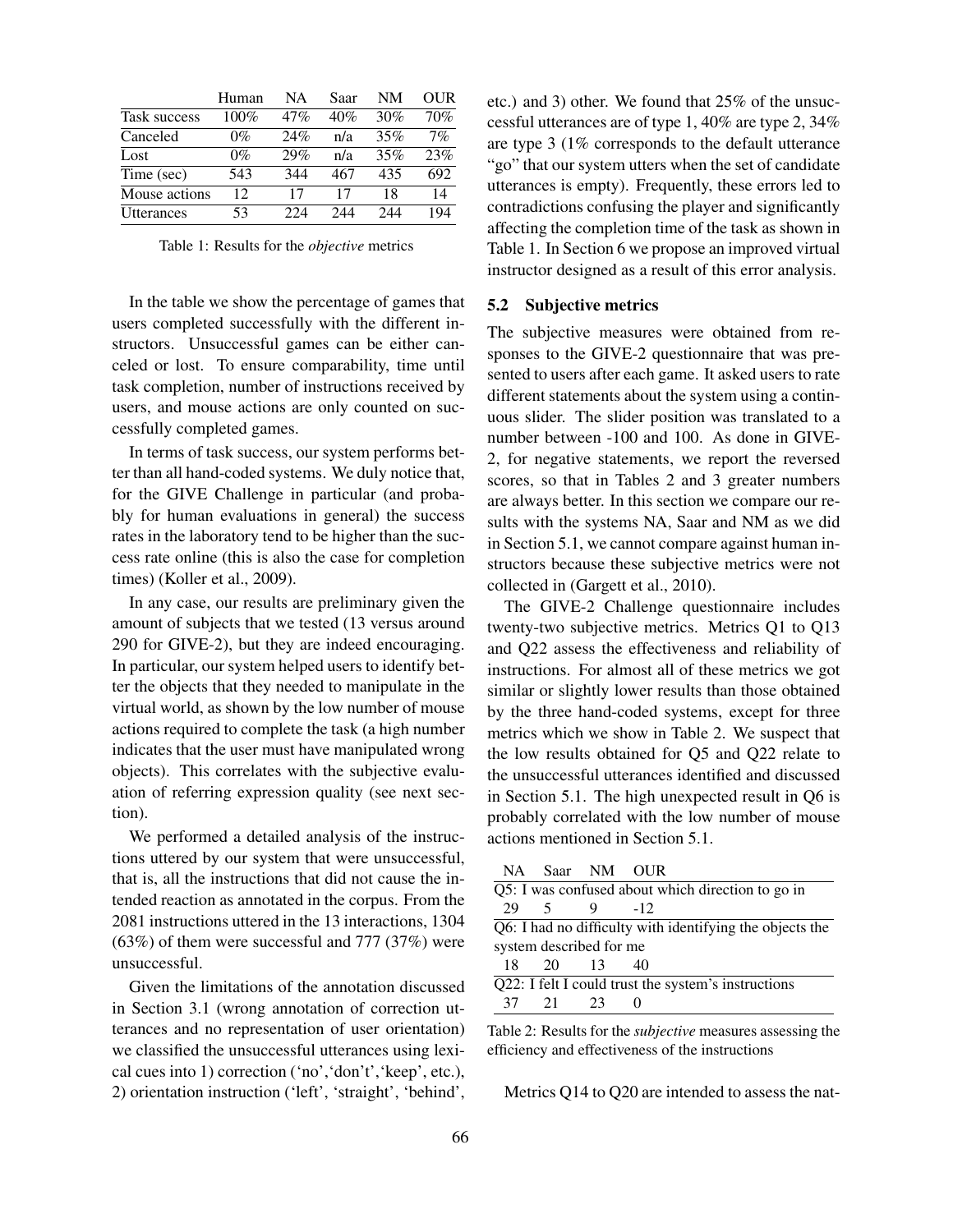|               | Human | NΑ  | Saar | NM  | OUR |
|---------------|-------|-----|------|-----|-----|
| Task success  | 100%  | 47% | 40%  | 30% | 70% |
| Canceled      | $0\%$ | 24% | n/a  | 35% | 7%  |
| Lost          | $0\%$ | 29% | n/a  | 35% | 23% |
| Time (sec)    | 543   | 344 | 467  | 435 | 692 |
| Mouse actions | 12.   | 17  | 17   | 18  | 14  |
| Utterances    | 53    | 224 | 244  | 244 | 194 |

Table 1: Results for the *objective* metrics

In the table we show the percentage of games that users completed successfully with the different instructors. Unsuccessful games can be either canceled or lost. To ensure comparability, time until task completion, number of instructions received by users, and mouse actions are only counted on successfully completed games.

In terms of task success, our system performs better than all hand-coded systems. We duly notice that, for the GIVE Challenge in particular (and probably for human evaluations in general) the success rates in the laboratory tend to be higher than the success rate online (this is also the case for completion times) (Koller et al., 2009).

In any case, our results are preliminary given the amount of subjects that we tested (13 versus around 290 for GIVE-2), but they are indeed encouraging. In particular, our system helped users to identify better the objects that they needed to manipulate in the virtual world, as shown by the low number of mouse actions required to complete the task (a high number indicates that the user must have manipulated wrong objects). This correlates with the subjective evaluation of referring expression quality (see next section).

We performed a detailed analysis of the instructions uttered by our system that were unsuccessful, that is, all the instructions that did not cause the intended reaction as annotated in the corpus. From the 2081 instructions uttered in the 13 interactions, 1304  $(63%)$  of them were successful and 777 (37%) were unsuccessful.

Given the limitations of the annotation discussed in Section 3.1 (wrong annotation of correction utterances and no representation of user orientation) we classified the unsuccessful utterances using lexical cues into 1) correction ('no','don't','keep', etc.), 2) orientation instruction ('left', 'straight', 'behind', etc.) and 3) other. We found that 25% of the unsuccessful utterances are of type 1, 40% are type 2, 34% are type 3 (1% corresponds to the default utterance "go" that our system utters when the set of candidate utterances is empty). Frequently, these errors led to contradictions confusing the player and significantly affecting the completion time of the task as shown in Table 1. In Section 6 we propose an improved virtual instructor designed as a result of this error analysis.

#### 5.2 Subjective metrics

The subjective measures were obtained from responses to the GIVE-2 questionnaire that was presented to users after each game. It asked users to rate different statements about the system using a continuous slider. The slider position was translated to a number between -100 and 100. As done in GIVE-2, for negative statements, we report the reversed scores, so that in Tables 2 and 3 greater numbers are always better. In this section we compare our results with the systems NA, Saar and NM as we did in Section 5.1, we cannot compare against human instructors because these subjective metrics were not collected in (Gargett et al., 2010).

The GIVE-2 Challenge questionnaire includes twenty-two subjective metrics. Metrics Q1 to Q13 and Q22 assess the effectiveness and reliability of instructions. For almost all of these metrics we got similar or slightly lower results than those obtained by the three hand-coded systems, except for three metrics which we show in Table 2. We suspect that the low results obtained for Q5 and Q22 relate to the unsuccessful utterances identified and discussed in Section 5.1. The high unexpected result in Q6 is probably correlated with the low number of mouse actions mentioned in Section 5.1.

|                                                          | NA Saar NM OUR |      |       |  |  |  |
|----------------------------------------------------------|----------------|------|-------|--|--|--|
| Q5: I was confused about which direction to go in        |                |      |       |  |  |  |
| 29                                                       | - 5            |      | $-12$ |  |  |  |
| Q6: I had no difficulty with identifying the objects the |                |      |       |  |  |  |
| system described for me                                  |                |      |       |  |  |  |
| 18                                                       | 20             | - 13 | 40    |  |  |  |
| Q22: I felt I could trust the system's instructions      |                |      |       |  |  |  |
| 37                                                       | 2.1            | 23   |       |  |  |  |
|                                                          |                |      |       |  |  |  |

Table 2: Results for the *subjective* measures assessing the efficiency and effectiveness of the instructions

Metrics Q14 to Q20 are intended to assess the nat-